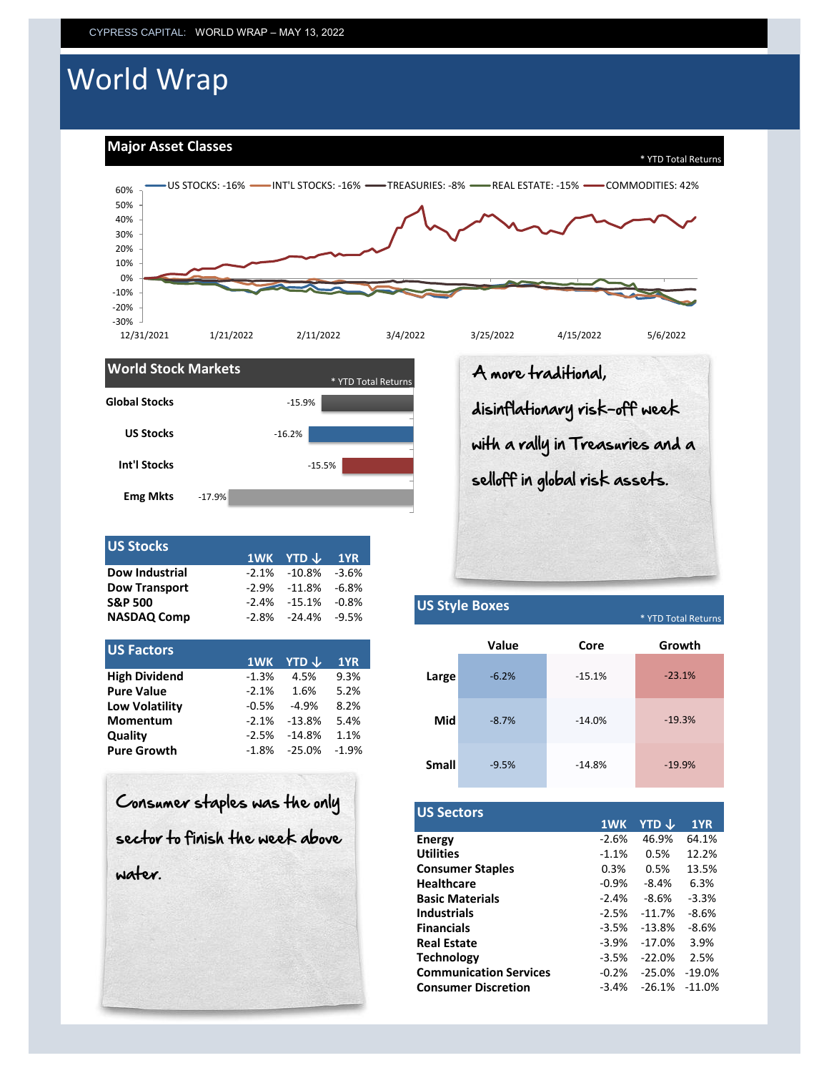# World Wrap

**Major Asset Classes**





| <b>US Stocks</b>     |          | 1WK YTD $\downarrow$ 1YR |       |                       |
|----------------------|----------|--------------------------|-------|-----------------------|
| Dow Industrial       | $-2.1\%$ | -10.8%                   | -3.6% |                       |
| <b>Dow Transport</b> |          | $-2.9\% -11.8\%$         | -6.8% |                       |
| <b>S&amp;P 500</b>   |          | $-2.4\% -15.1\% -0.8\%$  |       | <b>US Style Boxes</b> |
| <b>NASDAQ Comp</b>   | -2.8%    | -24.4%                   | -9.5% | * YTD Total Returns   |

| 1WK     | <b>YTD</b> $\downarrow$ | 1YR     |       |
|---------|-------------------------|---------|-------|
| $-1.3%$ | 4.5%                    | 9.3%    | Large |
| $-2.1%$ | 1.6%                    | 5.2%    |       |
| $-0.5%$ | $-4.9%$                 | 8.2%    |       |
| $-2.1%$ | $-13.8%$                | 5.4%    | Mid   |
| $-2.5%$ | $-14.8%$                | 1.1%    |       |
| $-1.8%$ | -25.0%                  | $-1.9%$ |       |
|         |                         |         |       |

| Consumer staples was the only   |
|---------------------------------|
| sector to finish the week above |
| water.                          |
|                                 |

A more traditional, disinflationary risk-off week with a rally in Treasuries and a selloff in global risk assets.

\* YTD Total Returns

|              |         |          | Y I D'I otal Return |
|--------------|---------|----------|---------------------|
|              | Value   | Core     | Growth              |
| Large        | $-6.2%$ | $-15.1%$ | $-23.1%$            |
| Mid          | $-8.7%$ | $-14.0%$ | $-19.3%$            |
| <b>Small</b> | $-9.5%$ | $-14.8%$ | $-19.9%$            |

| <b>US Sectors</b>             |         |          |          |
|-------------------------------|---------|----------|----------|
|                               | 1WK     | YTD J    | 1YR      |
| Energy                        | $-2.6%$ | 46.9%    | 64.1%    |
| <b>Utilities</b>              | $-1.1%$ | 0.5%     | 12.2%    |
| <b>Consumer Staples</b>       | 0.3%    | 0.5%     | 13.5%    |
| <b>Healthcare</b>             | $-0.9%$ | $-8.4%$  | 6.3%     |
| <b>Basic Materials</b>        | $-2.4%$ | $-8.6%$  | $-3.3%$  |
| <b>Industrials</b>            | $-2.5%$ | $-11.7%$ | $-8.6%$  |
| <b>Financials</b>             | $-3.5%$ | $-13.8%$ | $-8.6%$  |
| <b>Real Estate</b>            | $-3.9%$ | $-17.0%$ | 3.9%     |
| <b>Technology</b>             | $-3.5%$ | $-22.0%$ | 2.5%     |
| <b>Communication Services</b> | $-0.2%$ | $-25.0%$ | $-19.0%$ |
| <b>Consumer Discretion</b>    | $-3.4%$ | $-26.1%$ | $-11.0%$ |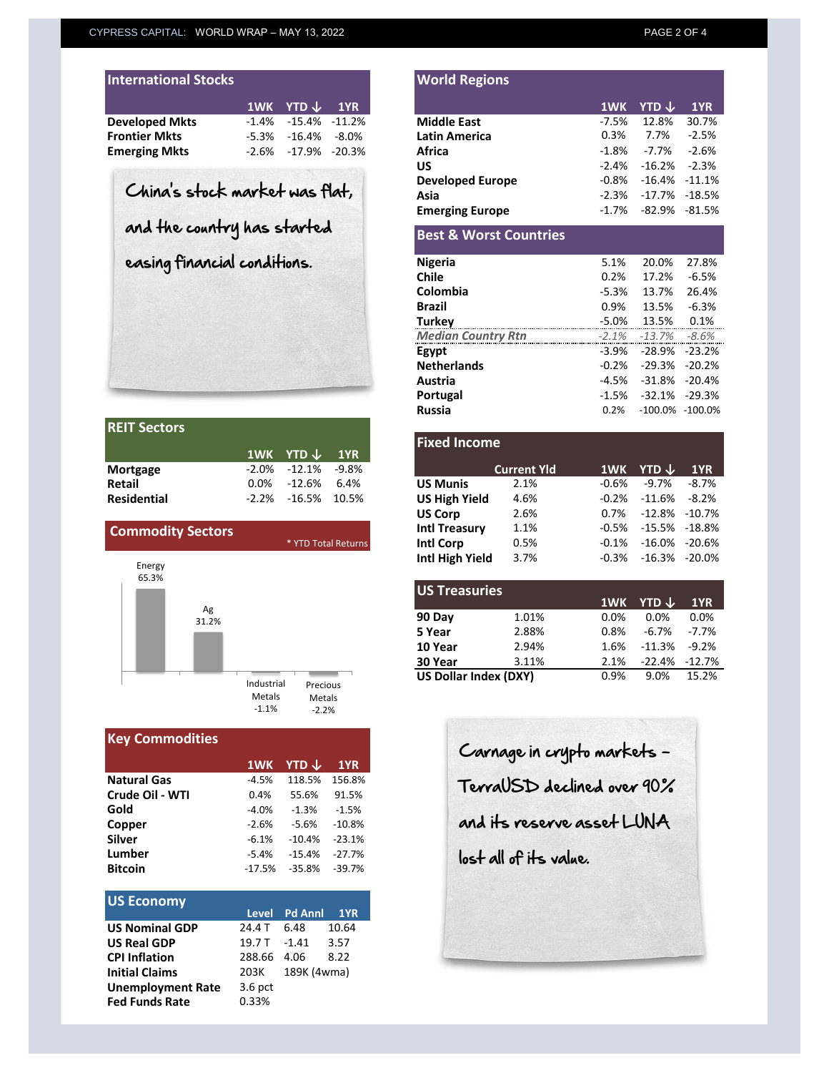|  | 1WK YTD $\downarrow$ 1YR<br>$-1.4\%$ $-15.4\%$ $-11.2\%$<br>$-5.3\% -16.4\% -8.0\%$<br>$-2.6\% -17.9\% -20.3\%$ |
|--|-----------------------------------------------------------------------------------------------------------------|

| <b>REIT Sectors</b> |                            |  |
|---------------------|----------------------------|--|
|                     | $1WK$ YTD $\downarrow$ 1YR |  |
| <b>Mortgage</b>     | $-2.0\% -12.1\% -9.8\%$    |  |
| <b>Retail</b>       | $0.0\%$ -12.6% 6.4%        |  |
| <b>Residential</b>  | $-2.2\% -16.5\%$ 10.5%     |  |



| <b>Key Commodities</b> |          |          |          |
|------------------------|----------|----------|----------|
|                        | 1WK      | YTD J    | 1YR      |
| <b>Natural Gas</b>     | $-4.5%$  | 118.5%   | 156.8%   |
| Crude Oil - WTI        | 0.4%     | 55.6%    | 91.5%    |
| Gold                   | $-4.0%$  | $-1.3%$  | $-1.5%$  |
| Copper                 | $-2.6%$  | $-5.6%$  | $-10.8%$ |
| Silver                 | $-6.1%$  | $-10.4%$ | $-23.1%$ |
| Lumber                 | $-5.4%$  | $-15.4%$ | $-27.7%$ |
| <b>Bitcoin</b>         | $-17.5%$ | $-35.8%$ | $-39.7%$ |
|                        |          |          |          |

| <b>US Economy</b>        |               |               |       |
|--------------------------|---------------|---------------|-------|
|                          |               | Level Pd Annl | 1YR   |
| <b>US Nominal GDP</b>    | 24.4 T        | - 6.48        | 10.64 |
| <b>US Real GDP</b>       | 19.7 T - 1.41 |               | 3.57  |
| <b>CPI Inflation</b>     | 288.66        | 4.06          | 8.22  |
| <b>Initial Claims</b>    | 203K          | 189K (4wma)   |       |
| <b>Unemployment Rate</b> | $3.6$ pct     |               |       |
| <b>Fed Funds Rate</b>    | 0.33%         |               |       |

|                                | 1WK     | <b>YTD</b> $\downarrow$ | 1YR      |                                   | 1WK      |  |
|--------------------------------|---------|-------------------------|----------|-----------------------------------|----------|--|
| <b>Developed Mkts</b>          | $-1.4%$ | -15.4%                  | $-11.2%$ | <b>Middle East</b>                | $-7.5%$  |  |
| Frontier Mkts                  | $-5.3%$ | $-16.4%$                | $-8.0%$  | Latin America                     | 0.3%     |  |
| Emerging Mkts                  | $-2.6%$ | $-17.9\% -20.3\%$       |          | Africa                            | $-1.8%$  |  |
|                                |         |                         |          | <b>US</b>                         | $-2.4%$  |  |
|                                |         |                         |          | <b>Developed Europe</b>           | $-0.8%$  |  |
| China's stock market was flat, |         |                         |          | Asia                              | $-2.3%$  |  |
|                                |         |                         |          | <b>Emerging Europe</b>            | $-1.7%$  |  |
| and the country has started    |         |                         |          | <b>Best &amp; Worst Countries</b> |          |  |
| easing financial conditions.   |         |                         |          | <b>Nigeria</b>                    | 5.1%     |  |
|                                |         |                         |          | <b>Chile</b>                      | 0.2%     |  |
|                                |         |                         |          | Colombia                          | -5.3%    |  |
|                                |         |                         |          | <b>Brazil</b>                     | 0.9%     |  |
|                                |         |                         |          | <b>Turkey</b>                     | $-5.0%$  |  |
|                                |         |                         |          | <b>Median Country Rtn</b>         | $-2.1%$  |  |
|                                |         |                         |          | Egypt                             | $-3.9\%$ |  |
|                                |         |                         |          | <b>Netherlands</b>                | $-0.2%$  |  |
|                                |         |                         |          | Austria                           | -4.5%    |  |
|                                |         |                         |          | Portugal                          | $-1.5%$  |  |
|                                |         |                         |          | Russia                            | 0.2%     |  |

**World Regions**

|                          | 1WK      | YTD $\downarrow$ | 1YR                 | <b>Fixed Income</b>    |                    |                              |
|--------------------------|----------|------------------|---------------------|------------------------|--------------------|------------------------------|
| Mortgage                 | $-2.0\%$ | $-12.1%$         | $-9.8%$             |                        | <b>Current Yld</b> | 1WK YTD $\downarrow$         |
| <b>Retail</b>            | $0.0\%$  | $-12.6\%$        | 6.4%                | <b>US Munis</b>        | 2.1%               | -0.6%                        |
| <b>Residential</b>       | $-2.2%$  | -16.5%           | 10.5%               | <b>US High Yield</b>   | 4.6%               | $-0.2\%$                     |
|                          |          |                  |                     | <b>US Corp</b>         | 2.6%               | 0.7%                         |
| <b>Commodity Sectors</b> |          |                  |                     | <b>Intl Treasury</b>   | 1.1%               | $-0.5\%$ $-15.5\%$ $-18.8\%$ |
|                          |          |                  | * YTD Total Returns | <b>Intl Corp</b>       | 0.5%               | $-0.1\%$                     |
| $E$ normi                |          |                  |                     | <b>Intl High Yield</b> | 3.7%               | $-0.3%$                      |

| US Treasuries         |       |      |                      |         |
|-----------------------|-------|------|----------------------|---------|
|                       |       |      | 1WK YTD $\downarrow$ | 1YR     |
| 90 Day                | 1.01% | 0.0% | 0.0%                 | 0.0%    |
| 5 Year                | 2.88% | 0.8% | $-6.7%$              | $-7.7%$ |
| 10 Year               | 2.94% | 1.6% | $-11.3%$             | $-9.2%$ |
| 30 Year               | 3.11% | 2.1% | $-22.4\% -12.7\%$    |         |
| US Dollar Index (DXY) |       | 0.9% | 9.0%                 | 15.2%   |
|                       |       |      |                      |         |

Carnage in crypto markets - TerraUSD declined over 90% and its reserve asset LUNA lost all of its value.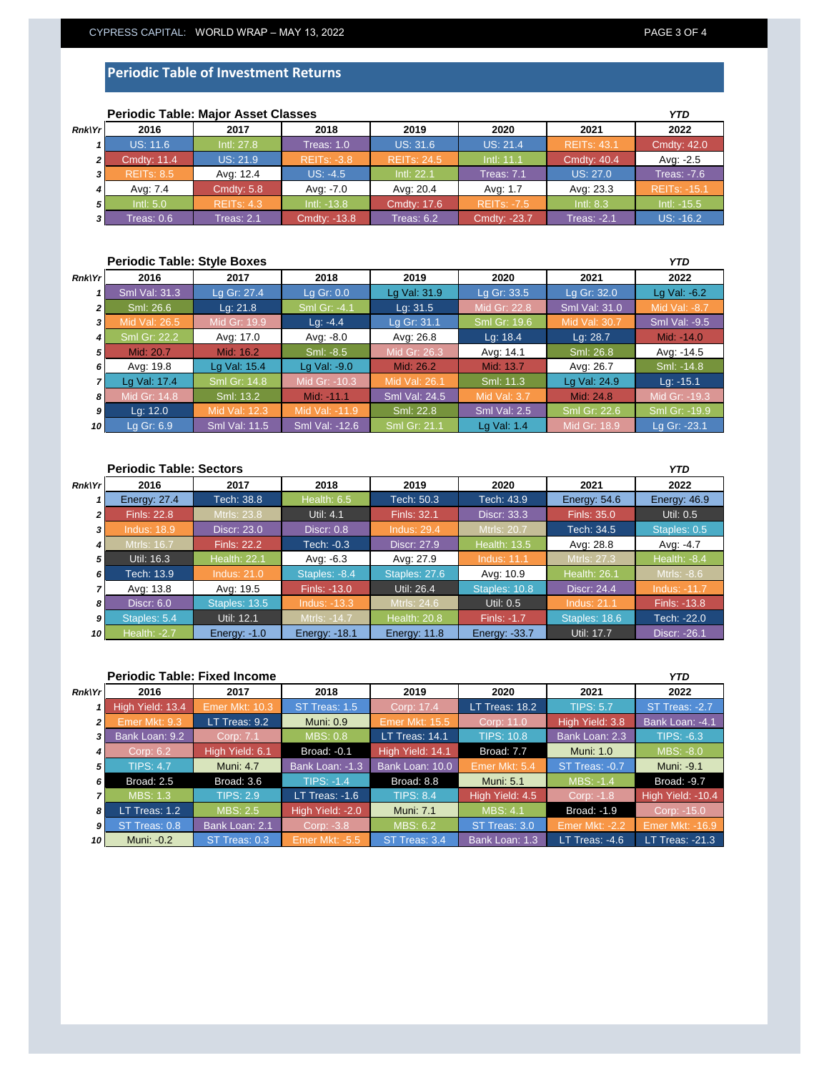### **Periodic Table of Investment Returns**

|                | <b>Periodic Table: Major Asset Classes</b> |                   | YTD                |                    |                    |                    |                     |
|----------------|--------------------------------------------|-------------------|--------------------|--------------------|--------------------|--------------------|---------------------|
| <b>Rnk\Yr</b>  | 2016                                       | 2017              | 2018               | 2019               | 2020               | 2021               | 2022                |
|                | <b>US: 11.6</b>                            | Intl: 27.8        | Treas: $1.0$       | <b>US: 31.6</b>    | <b>US: 21.4</b>    | <b>REITS: 43.1</b> | <b>Cmdty: 42.0</b>  |
| $\overline{2}$ | <b>Cmdty: 11.4</b>                         | <b>US: 21.9</b>   | <b>REITS: -3.8</b> | <b>REITs: 24.5</b> | Intl: 11.1         | <b>Cmdty: 40.4</b> | Avg: -2.5           |
| 3              | <b>REITS: 8.5</b>                          | Avg: 12.4         | $US: -4.5$         | Intl: 22.1         | <b>Treas: 7.1</b>  | <b>US: 27.0</b>    | Treas: $-7.6$       |
|                | Ava: 7.4                                   | Cmdty: $5.8$      | Avg: -7.0          | Avg: 20.4          | Avg: 1.7           | Avg: 23.3          | <b>REITs: -15.1</b> |
| 51             | Intl: 5.0                                  | <b>REITS: 4.3</b> | $Int: -13.8$       | <b>Cmdty: 17.6</b> | <b>REITS: -7.5</b> | Intl: $8.3$        | $Int: -15.5$        |
| 31             | Treas: 0.6                                 | Treas: 2.1        | Cmdty: -13.8       | Treas: $6.2$       | Cmdty: -23.7       | <b>Treas: -2.1</b> | $US: -16.2$         |

## **Periodic Table: Major Asset Classes**

### **Periodic Table: Style Boxes** *Rnk\Yr 1 2 3 4 5 6 7 8 9 10* **2021 2022** Sml Val: 31.3 Sml Val: -9.5 Lg Gr: 27.4 Lg Gr: 0.0 Lg Val: 31.9 Lg Gr: 33.5 *YTD* **2016 2017 2018 2019 2020** Lg Gr: 32.0 | Lg Val: -6.2 Mid: -14.0 1id Val: 26.5 Mid Gr: 19.9<br>3ml Gr: 22.2 Avg: 17.0 Sml: 26.6 Lg: 21.8 Sml Gr: -4.1 Lg: 31.5 Mid Gr: 22.8 Sml Val: 31.0 Sml: -8.5 Mid Gr: 26.3 Avg: 14.1 Lg: -4.4 **Lg Gr: 31.1 Sml Gr: 19.** Sml: 26.8 Avg: 17.0 | Avg: -8.0 | Avg: 26.8 | Lg: 18.4 | Lg: 28.7 Avg: -14.5 Sml: -14.8 Lg Val: 24.9 Lg: -15.1 Sml: 13.2 | Mid: -11.1 | Sml Val: 24.5 | Mid Val: 3.7 | Mid: 24.8 | Mid Gr: -19.3 Lg Val: 17.4 Avg: 19.8 Lg Val: 15.4 Lg Val: -9.0 Mid: 26.2 Mid: 13.7 Avg: 26.7 Sml Gr: 14.8 Mid Gr: -10.3 Mid Val: 26.1 Sml: 11.3 Mid: 20.7 | Mid: 16.2 Mid Gr: 18.9 Lg Gr: -23.1 Lg: 12.0 Mid Val: 12.3 Mid Val: -11.9 Sml: 22.8 Sml Val: 2.5 Sml Gr: 22.6 Sml Gr: -19.9 Lg Gr: 6.9 Sml Val: 11.5 Sml Val: -12.6 Sml Gr: 21.1 Cg Val: 1.4

### **Periodic Table: Sectors** *Rnk\Yr 1 2 3 4 5 6 7 8 9 10* **2020 2021 2022 Energy: 27.4 Tech: 38.8 Health: 6.5 Tech: 50.3 Tech: 43.9** *YTD* **2016 2017 2018 2019** Energy: 54.6 Energy: 46.9 Util: 0.5 Tech: 34.5 **Staples: 0.5** Mtrls: 16.7 **Finls: 22.2 Tech: -0.3 Discr: 27.9 Health: 13.5 Avg: 28.8 Avg: -4.7** ndus: 18.9 Finls: 22.8 Mtrls: 23.8 Util: 4.1 Finls: 32.1 Discr: 33.3 Finls: 3 Discr: 23.0 Discr: 0.8 Tech: 13.9 Indus: 21.0 Staples: -8.4 Staples: 27.6 Avg: 10.9 Health: 26.1 Mtrls: -8.6 Util: 16.3 **Health: 22.1** Finls: -13.0 Util: 26.4 Staples: 10.8 Avg: -6.3 Avg: 27.9 Indus: 11.1 Mtrls: Discr: 24.4 Health: -8.4 Staples: 5.4 Discr: 6.0 Staples: 13.5 Indus: -13.3 Mtrls: 24.6 Util: 0.5 Indus: Util: 12.1 **Mtris: -14.7** Health: 20.8 Finls: -1.7 Avg: 13.8 Avg: 19.5 Finls: -13.8 Staples: 18.6 **Tech: -22.0** Health: -2.7 Energy: -1.0 Energy: -18.1 Energy: 11.8 Energy: -33.7 Util: 17.7 Discr: -26.1

|                         | <b>Periodic Table: Fixed Income</b> |                  |                       |                       |                   |                    |                        |  |
|-------------------------|-------------------------------------|------------------|-----------------------|-----------------------|-------------------|--------------------|------------------------|--|
| <b>Rnk\Yr</b>           | 2016                                | 2017             | 2018                  | 2019                  | 2020              | 2021               | 2022                   |  |
|                         | High Yield: 13.4                    | Emer Mkt: 10.3   | ST Treas: 1.5         | Corp: 17.4            | $LT$ Treas: 18.2  | <b>TIPS: 5.7</b>   | ST Treas: -2.7         |  |
| $\overline{2}$          | Emer Mkt: 9.3                       | LT Treas: 9.2    | <b>Muni: 0.9</b>      | <b>Emer Mkt: 15.5</b> | Corp: 11.0        | High Yield: 3.8    | Bank Loan: -4.1        |  |
| $\overline{\mathbf{3}}$ | Bank Loan: 9.2                      | Corp: 7.1        | <b>MBS: 0.8</b>       | LT Treas: 14.1        | <b>TIPS: 10.8</b> | Bank Loan: 2.3     | TIPS: $-6.3$           |  |
| 4                       | Corp: 6.2                           | High Yield: 6.1  | <b>Broad: -0.1</b>    | High Yield: 14.1      | Broad: 7.7        | <b>Muni: 1.0</b>   | MBS: -8.0              |  |
| 5                       | <b>TIPS: 4.7</b>                    | <b>Muni: 4.7</b> | Bank Loan: -1.3       | Bank Loan: 10.0       | Emer Mkt: 5.4     | ST Treas: -0.7     | Muni: -9.1             |  |
| 6                       | Broad: 2.5                          | Broad: 3.6       | <b>TIPS: -1.4</b>     | Broad: 8.8            | <b>Muni: 5.1</b>  | MBS: -1.4          | Broad: -9.7            |  |
|                         | <b>MBS: 1.3</b>                     | <b>TIPS: 2.9</b> | LT Treas: $-1.6$      | <b>TIPS: 8.4</b>      | High Yield: 4.5   | Corp: -1.8         | High Yield: -10.4      |  |
| 8                       | LT Treas: 1.2                       | MBS: 2.5         | High Yield: -2.0      | <b>Muni: 7.1</b>      | <b>MBS: 4.1</b>   | <b>Broad: -1.9</b> | Corp: -15.0            |  |
| 9                       | ST Treas: 0.8                       | Bank Loan: 2.1   | Corp: -3.8            | <b>MBS: 6.2</b>       | ST Treas: 3.0     | Emer Mkt: -2.2     | <b>Emer Mkt: -16.9</b> |  |
| 10                      | Muni: -0.2                          | ST Treas: 0.3    | <b>Emer Mkt: -5.5</b> | ST Treas: 3.4         | Bank Loan: 1.3    | LT Treas: $-4.6$   | LT Treas: -21.3        |  |